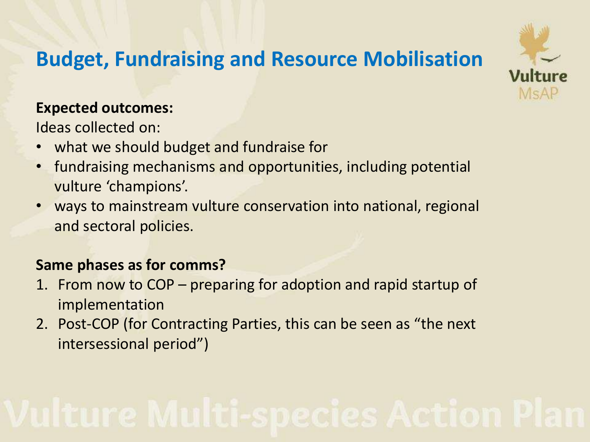## **Budget, Fundraising and Resource Mobilisation**

# MsAF

#### **Expected outcomes:**

Ideas collected on:

- what we should budget and fundraise for
- fundraising mechanisms and opportunities, including potential vulture 'champions'.
- ways to mainstream vulture conservation into national, regional and sectoral policies.

### **Same phases as for comms?**

- 1. From now to COP preparing for adoption and rapid startup of implementation
- 2. Post-COP (for Contracting Parties, this can be seen as "the next intersessional period")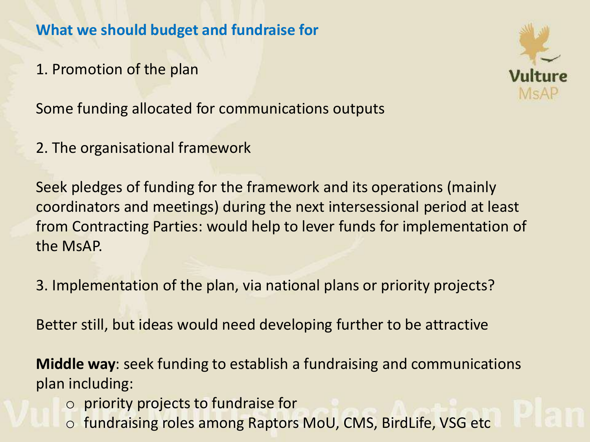**What we should budget and fundraise for**

1. Promotion of the plan

Some funding allocated for communications outputs

2. The organisational framework

Seek pledges of funding for the framework and its operations (mainly coordinators and meetings) during the next intersessional period at least from Contracting Parties: would help to lever funds for implementation of the MsAP.

3. Implementation of the plan, via national plans or priority projects?

Better still, but ideas would need developing further to be attractive

**Middle way**: seek funding to establish a fundraising and communications plan including:

- o priority projects to fundraise for
- o fundraising roles among Raptors MoU, CMS, BirdLife, VSG etc

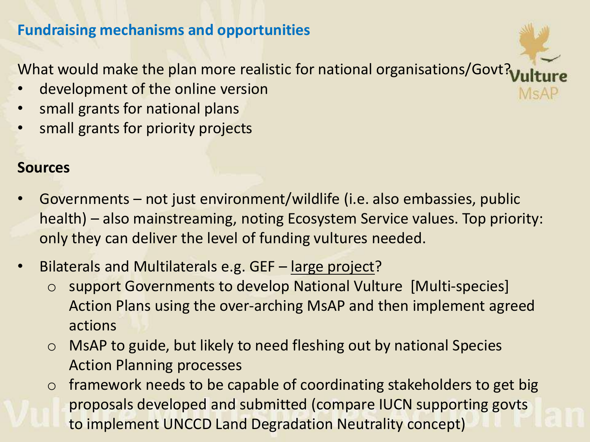#### **Fundraising mechanisms and opportunities**

What would make the plan more realistic for national organisations/Govt?

 $M \subseteq A$ 

- development of the online version
- small grants for national plans
- small grants for priority projects

#### **Sources**

- Governments not just environment/wildlife (i.e. also embassies, public health) – also mainstreaming, noting Ecosystem Service values. Top priority: only they can deliver the level of funding vultures needed.
- Bilaterals and Multilaterals e.g. GEF large project?
	- o support Governments to develop National Vulture [Multi-species] Action Plans using the over-arching MsAP and then implement agreed actions
	- o MsAP to guide, but likely to need fleshing out by national Species Action Planning processes
	- o framework needs to be capable of coordinating stakeholders to get big proposals developed and submitted (compare IUCN supporting govts to implement UNCCD Land Degradation Neutrality concept)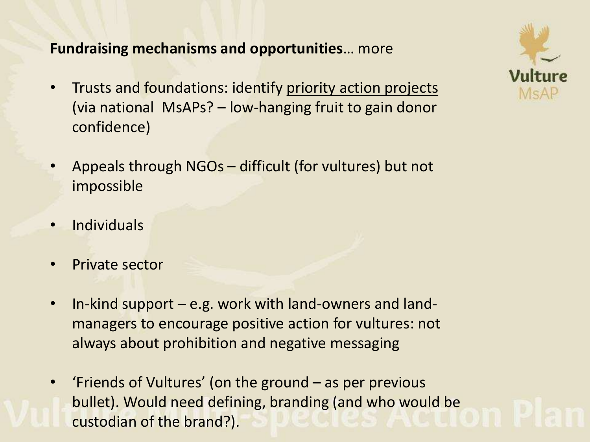#### **Fundraising mechanisms and opportunities**… more

- Trusts and foundations: identify priority action projects (via national MsAPs? – low-hanging fruit to gain donor confidence)
- Appeals through NGOs difficult (for vultures) but not impossible
- **Individuals**
- Private sector
- In-kind support e.g. work with land-owners and landmanagers to encourage positive action for vultures: not always about prohibition and negative messaging
- 'Friends of Vultures' (on the ground as per previous bullet). Would need defining, branding (and who would be custodian of the brand?).

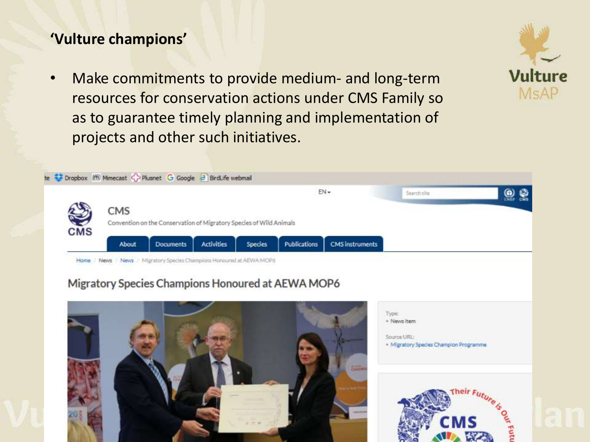#### **'Vulture champions'**

• Make commitments to provide medium- and long-term resources for conservation actions under CMS Family so as to guarantee timely planning and implementation of projects and other such initiatives.



#### Migratory Species Champions Honoured at AEWA MOP6





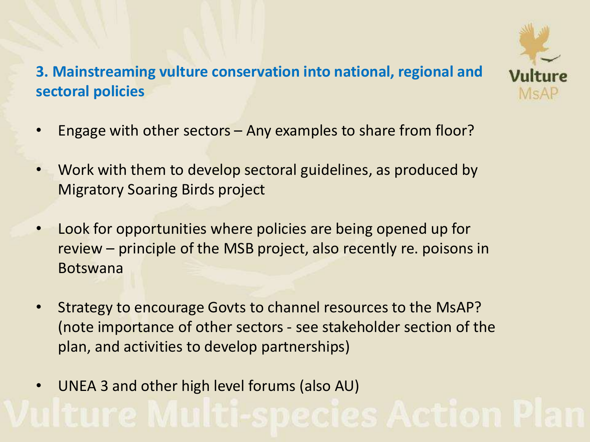## **3. Mainstreaming vulture conservation into national, regional and sectoral policies**



- Engage with other sectors  $-$  Any examples to share from floor?
- Work with them to develop sectoral guidelines, as produced by Migratory Soaring Birds project
- Look for opportunities where policies are being opened up for review – principle of the MSB project, also recently re. poisons in Botswana
- Strategy to encourage Govts to channel resources to the MsAP? (note importance of other sectors - see stakeholder section of the plan, and activities to develop partnerships)
- UNEA 3 and other high level forums (also AU)